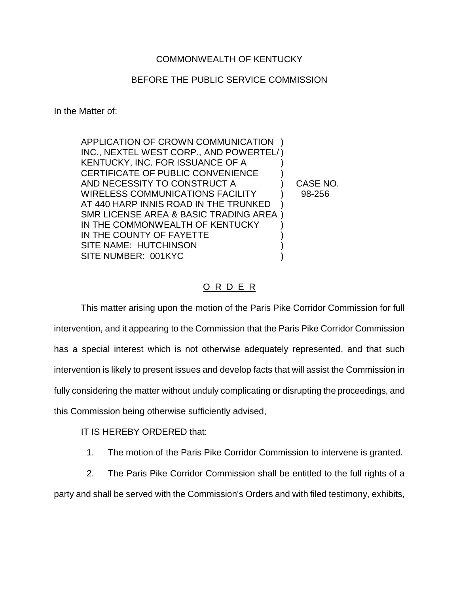## COMMONWEALTH OF KENTUCKY

## BEFORE THE PUBLIC SERVICE COMMISSION

In the Matter of:

| APPLICATION OF CROWN COMMUNICATION                |          |
|---------------------------------------------------|----------|
| INC., NEXTEL WEST CORP., AND POWERTEL/)           |          |
| KENTUCKY, INC. FOR ISSUANCE OF A                  |          |
| <b>CERTIFICATE OF PUBLIC CONVENIENCE</b>          |          |
| AND NECESSITY TO CONSTRUCT A                      | CASE NO. |
| <b>WIRELESS COMMUNICATIONS FACILITY</b>           | 98-256   |
| AT 440 HARP INNIS ROAD IN THE TRUNKED             |          |
| <b>SMR LICENSE AREA &amp; BASIC TRADING AREA)</b> |          |
| IN THE COMMONWEALTH OF KENTUCKY                   |          |
| IN THE COUNTY OF FAYETTE                          |          |
| SITE NAME: HUTCHINSON                             |          |
| SITE NUMBER: 001KYC                               |          |

## O R D E R

This matter arising upon the motion of the Paris Pike Corridor Commission for full intervention, and it appearing to the Commission that the Paris Pike Corridor Commission has a special interest which is not otherwise adequately represented, and that such intervention is likely to present issues and develop facts that will assist the Commission in fully considering the matter without unduly complicating or disrupting the proceedings, and this Commission being otherwise sufficiently advised,

## IT IS HEREBY ORDERED that:

1. The motion of the Paris Pike Corridor Commission to intervene is granted.

2. The Paris Pike Corridor Commission shall be entitled to the full rights of a

party and shall be served with the Commission's Orders and with filed testimony, exhibits,